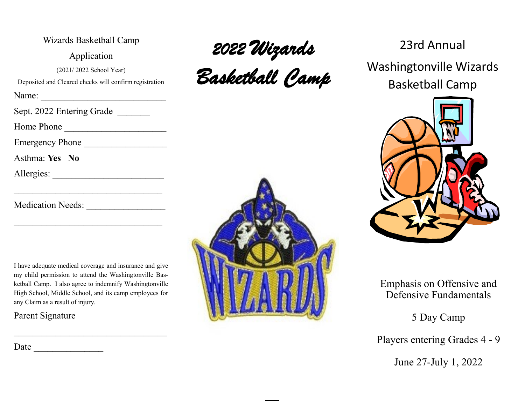| Wizards Basketball Camp                                |
|--------------------------------------------------------|
| Application                                            |
| (2021/2022 School Year)                                |
| Deposited and Cleared checks will confirm registration |
| Name:                                                  |
| Sept. 2022 Entering Grade                              |
| Home Phone                                             |
| Emergency Phone                                        |
| Asthma: Yes No                                         |
| Allergies:                                             |
|                                                        |
| Medication Needs:                                      |

I have adequate medical coverage and insurance and give my child permission to attend the Washingtonville Basketball Camp. I also agree to indemnify Washingtonville High School, Middle School, and its camp employees for any Claim as a result of injury.

Parent Signature

Date  $\Box$ 



*Basketball Camp* 

### 23rd Annual

Washingtonville Wizards Basketball Camp



#### Emphasis on Offensive and Defensive Fundamentals

5 Day Camp

Players entering Grades 4 - 9

June 27-July 1, 2022